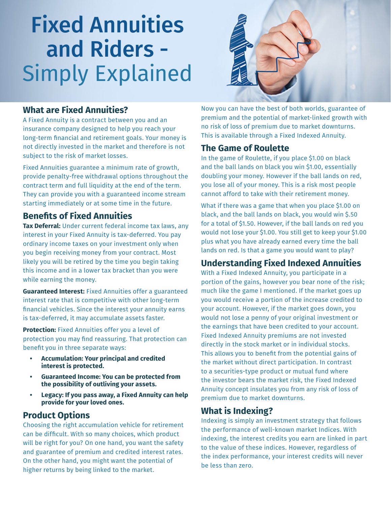# Fixed Annuities and Riders - Simply Explained



#### **What are Fixed Annuities?**

A Fixed Annuity is a contract between you and an insurance company designed to help you reach your long-term financial and retirement goals. Your money is not directly invested in the market and therefore is not subject to the risk of market losses.

Fixed Annuities guarantee a minimum rate of growth, provide penalty-free withdrawal options throughout the contract term and full liquidity at the end of the term. They can provide you with a guaranteed income stream starting immediately or at some time in the future.

## **Benefits of Fixed Annuities**

**Tax Deferral:** Under current federal income tax laws, any interest in your Fixed Annuity is tax-deferred. You pay ordinary income taxes on your investment only when you begin receiving money from your contract. Most likely you will be retired by the time you begin taking this income and in a lower tax bracket than you were while earning the money.

**Guaranteed Interest:** Fixed Annuities offer a guaranteed interest rate that is competitive with other long-term financial vehicles. Since the interest your annuity earns is tax-deferred, it may accumulate assets faster.

**Protection:** Fixed Annuities offer you a level of protection you may find reassuring. That protection can benefit you in three separate ways:

- **• Accumulation: Your principal and credited interest is protected.**
- **• Guaranteed Income: You can be protected from the possibility of outliving your assets.**
- **• Legacy: If you pass away, a Fixed Annuity can help provide for your loved ones.**

#### **Product Options**

Choosing the right accumulation vehicle for retirement can be difficult. With so many choices, which product will be right for you? On one hand, you want the safety and guarantee of premium and credited interest rates. On the other hand, you might want the potential of higher returns by being linked to the market.

Now you can have the best of both worlds, guarantee of premium and the potential of market-linked growth with no risk of loss of premium due to market downturns. This is available through a Fixed Indexed Annuity.

#### **The Game of Roulette**

In the game of Roulette, if you place \$1.00 on black and the ball lands on black you win \$1.00, essentially doubling your money. However if the ball lands on red, you lose all of your money. This is a risk most people cannot afford to take with their retirement money.

What if there was a game that when you place \$1.00 on black, and the ball lands on black, you would win \$.50 for a total of \$1.50. However, if the ball lands on red you would not lose your \$1.00. You still get to keep your \$1.00 plus what you have already earned every time the ball lands on red. Is that a game you would want to play?

# **Understanding Fixed Indexed Annuities**

With a Fixed Indexed Annuity, you participate in a portion of the gains, however you bear none of the risk; much like the game I mentioned. If the market goes up you would receive a portion of the increase credited to your account. However, if the market goes down, you would not lose a penny of your original investment or the earnings that have been credited to your account. Fixed Indexed Annuity premiums are not invested directly in the stock market or in individual stocks. This allows you to benefit from the potential gains of the market without direct participation. In contrast to a securities-type product or mutual fund where the investor bears the market risk, the Fixed Indexed Annuity concept insulates you from any risk of loss of premium due to market downturns.

#### **What is Indexing?**

Indexing is simply an investment strategy that follows the performance of well-known market Indices. With indexing, the interest credits you earn are linked in part to the value of these indices. However, regardless of the index performance, your interest credits will never be less than zero.